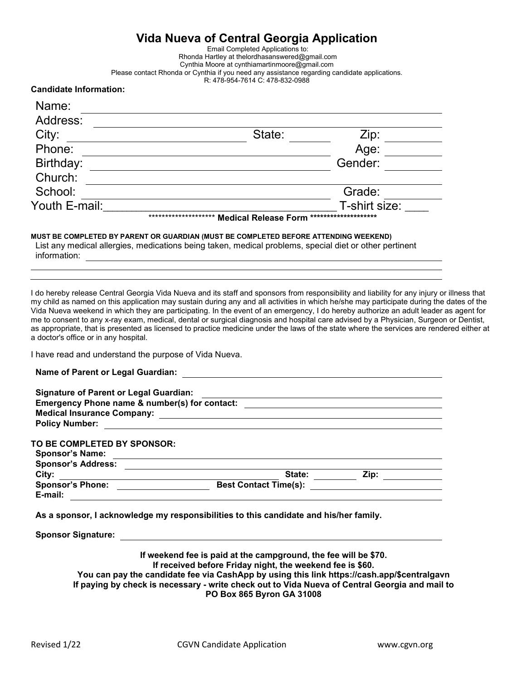# **Vida Nueva of Central Georgia Application**

Email Completed Applications to: Rhonda Hartley at [thelordhasanswered@gmail.com](mailto:thelordhasanswered@gmail.comCynthia) Cynthia Moore at c[ynthiamartinmoore@gmail.com](mailto:cynthiamartinmoore@gmail.com) Please contact Rhonda or Cynthia if you need any assistance regarding candidate applications. R: 478-954-7614 C: 478-832-0988

#### **Candidate Information:**

| Name:         |                                                     |                      |
|---------------|-----------------------------------------------------|----------------------|
| Address:      |                                                     |                      |
| City:         | State:                                              | Zip:                 |
| Phone:        |                                                     | Age:                 |
| Birthday:     |                                                     | Gender:              |
| Church:       |                                                     |                      |
| School:       |                                                     | Grade:               |
| Youth E-mail: |                                                     | T-shirt size:        |
|               | ********************<br><b>Medical Release Form</b> | ******************** |

#### **MUST BE COMPLETED BY PARENT OR GUARDIAN (MUST BE COMPLETED BEFORE ATTENDING WEEKEND)**

List any medical allergies, medications being taken, medical problems, special diet or other pertinent information:

I do hereby release Central Georgia Vida Nueva and its staff and sponsors from responsibility and liability for any injury or illness that my child as named on this application may sustain during any and all activities in which he/she may participate during the dates of the Vida Nueva weekend in which they are participating. In the event of an emergency, I do hereby authorize an adult leader as agent for me to consent to any x-ray exam, medical, dental or surgical diagnosis and hospital care advised by a Physician, Surgeon or Dentist, as appropriate, that is presented as licensed to practice medicine under the laws of the state where the services are rendered either at a doctor's office or in any hospital.

I have read and understand the purpose of Vida Nueva.

| <b>Signature of Parent or Legal Guardian:</b> |                              |      |
|-----------------------------------------------|------------------------------|------|
| Emergency Phone name & number(s) for contact: |                              |      |
| <b>Medical Insurance Company:</b>             |                              |      |
| <b>Policy Number:</b>                         |                              |      |
|                                               |                              |      |
| TO BE COMPLETED BY SPONSOR:                   |                              |      |
| <b>Sponsor's Name:</b>                        |                              |      |
| <b>Sponsor's Address:</b>                     |                              |      |
| City:                                         | State:                       | Zip: |
| <b>Sponsor's Phone:</b>                       | <b>Best Contact Time(s):</b> |      |
| E-mail:                                       |                              |      |

**As a sponsor, I acknowledge my responsibilities to this candidate and his/her family.**

**Sponsor Signature:**

**If weekend fee is paid at the campground, the fee will be \$70. If received before Friday night, the weekend fee is \$60. You can pay the candidate fee via CashApp by using this link h[ttps://cash.app/\\$centralgavn](https://cash.app/$centralgavn)  If paying by check is necessary - write check out to Vida Nueva of Central Georgia and mail to PO Box 865 Byron GA 31008**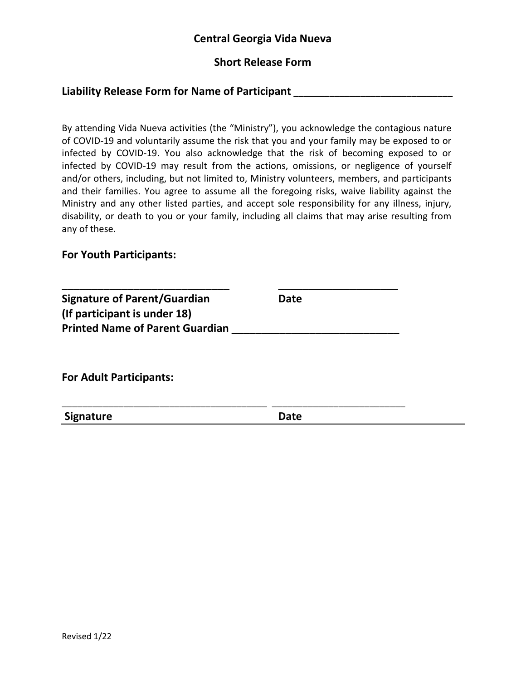# **Central Georgia Vida Nueva**

# **Short Release Form**

# **Liability Release Form for Name of Participant \_\_\_\_\_\_\_\_\_\_\_\_\_\_\_\_\_\_\_\_\_\_\_\_\_\_\_\_\_\_\_**

By attending Vida Nueva activities (the "Ministry"), you acknowledge the contagious nature of COVID-19 and voluntarily assume the risk that you and your family may be exposed to or infected by COVID-19. You also acknowledge that the risk of becoming exposed to or infected by COVID-19 may result from the actions, omissions, or negligence of yourself and/or others, including, but not limited to, Ministry volunteers, members, and participants and their families. You agree to assume all the foregoing risks, waive liability against the Ministry and any other listed parties, and accept sole responsibility for any illness, injury, disability, or death to you or your family, including all claims that may arise resulting from any of these.

#### **For Youth Participants:**

| <b>Signature of Parent/Guardian</b><br>(If participant is under 18) | Date |  |
|---------------------------------------------------------------------|------|--|
| <b>Printed Name of Parent Guardian</b>                              |      |  |
|                                                                     |      |  |
|                                                                     |      |  |
|                                                                     |      |  |
|                                                                     |      |  |
| <b>For Adult Participants:</b>                                      |      |  |

**Signature Date**